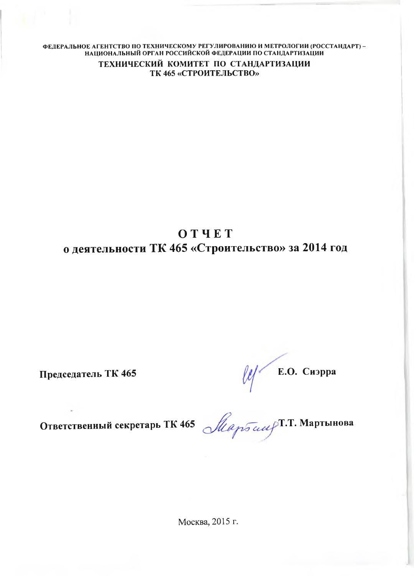ФЕДЕРАЛЬНОЕ АГЕНТСТВО ПО ТЕХНИЧЕСКОМУ РЕГУЛИРОВАНИЮ И МЕТРОЛОГИИ (ГОССТАНДАРТ) - НАЦИОНАЛЬНЫЙ ОРГАН РОССИЙСКОЙ ФЕДЕРАЦИИ ПО СТАНДАРТИЗАЦИИ

> **ТЕХНИЧЕСКИЙ КОМИТЕТ ПО СТАНДАРТИЗАЦИИ ТК 465 «СТРОИТЕЛЬСТВО»**

## **ОТЧЕТ о деятельности ТК 465 «Строительство» за 2014 год**

**Председатель ТК 465 Е.О. Сиэрра**

**Ответственный секретарь ТК 465 Т.Т. Мартынова**

Москва, 2015 г.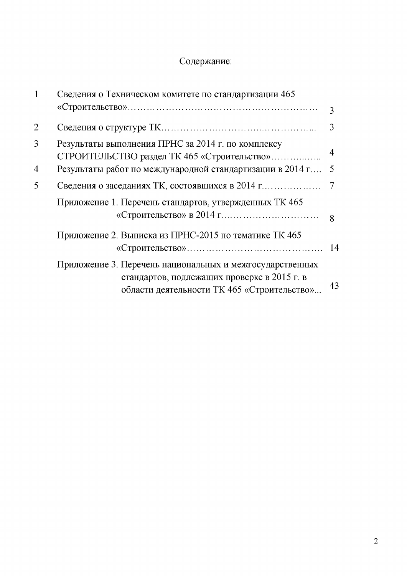## Содержание:

|                | Сведения о Техническом комитете по стандартизации 465                                                                                                  |              |  |
|----------------|--------------------------------------------------------------------------------------------------------------------------------------------------------|--------------|--|
|                |                                                                                                                                                        | 3            |  |
| $\overline{2}$ |                                                                                                                                                        | 3            |  |
| 3              | Результаты выполнения ПРНС за 2014 г. по комплексу<br>СТРОИТЕЛЬСТВО раздел ТК 465 «Строительство»                                                      | 4            |  |
| $\overline{4}$ | Результаты работ по международной стандартизации в 2014 г                                                                                              | 5            |  |
| 5              |                                                                                                                                                        |              |  |
|                | Приложение 1. Перечень стандартов, утвержденных ТК 465                                                                                                 | $\mathbf{8}$ |  |
|                | Приложение 2. Выписка из ПРНС-2015 по тематике ТК 465                                                                                                  |              |  |
|                | Приложение 3. Перечень национальных и межгосударственных<br>стандартов, подлежащих проверке в 2015 г. в<br>области деятельности ТК 465 «Строительство» | 43           |  |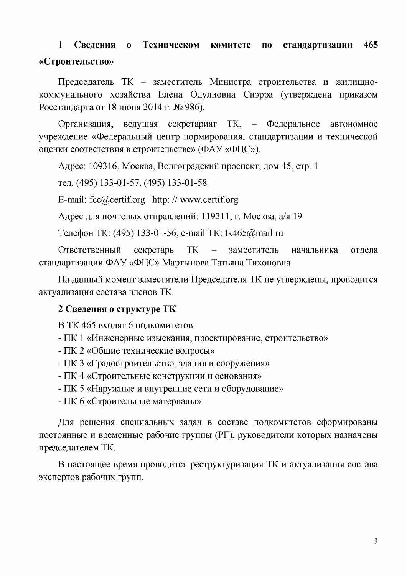## **1 Сведения о Техническом комитете по стандартизации 465 «Строительство»**

Председатель ТК - заместитель Министра строительства и жилищнокоммунального хозяйства Елена Одулиовна Сиэрра (утверждена приказом Росстандарта от 18 июня 2014 г. № 986).

Организация, ведущая секретариат ТК, - Федеральное автономное учреждение «Федеральный центр нормирования, стандартизации и технической оценки соответствия в строительстве» (ФАУ «ФЦС»).

Адрес: 109316, Москва, Волгоградский проспект, дом 45, стр. 1

тел. (495) 133-01-57, (495) 133-01-58

E-mail: [fcc@certif.org](mailto:fcc@certif.org) http: // [www.certif.org](http://www.certif.org)

Адрес для почтовых отправлений: 119311, г. Москва, а/я 19

Телефон ТК: (495) 133-01-56, е-mail ТК: [tk465@mail.ru](mailto:tk465@mail.ru)

Ответственный секретарь ТК - заместитель начальника отдела стандартизации ФАУ «ФЦС» Мартынова Татьяна Тихоновна

<span id="page-2-0"></span>На данный момент заместители Председателя ТК не утверждены, проводится актуализация состава членов ТК.

#### **2 Сведения о структуре ТК**

В ТК 465 входят 6 подкомитетов:

- ПК 1 «Инженерные изыскания, проектирование, строительство»
- ПК 2 «Общие технические вопросы»
- ПК 3 «Г радостроительство, здания и сооружения»
- ПК 4 «Строительные конструкции и основания»
- ПК 5 «Наружные и внутренние сети и оборудование»
- ПК 6 «Строительные материалы»

Для решения специальных задач в составе подкомитетов сформированы постоянные и временные рабочие группы (РГ), руководители которых назначены председателем ТК.

В настоящее время проводится реструктуризация ТК и актуализация состава экспертов рабочих групп.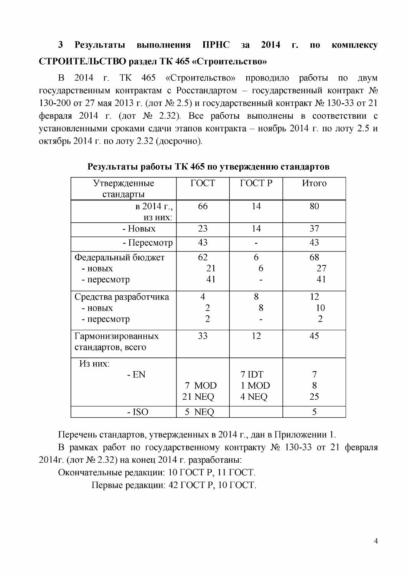## **3 Результаты выполнения ПРНС за 2014 г. по комплексу СТРОИТЕЛЬСТВО раздел ТК 465 «Строительство»**

В 2014 г. ТК 465 «Строительство» проводило работы по двум государственным контрактам с Росстандартом - государственный контракт  $\mathcal{N}_2$ 130-200 от 27 мая 2013 г. (лот № 2.5) и государственный контракт № 130-33 от 21 февраля 2014 г. (лот № 2.32). Все работы выполнены в соответствии с установленными сроками сдачи этапов контракта - ноябрь 2014 г. по лоту 2.5 и октябрь 2014 г. по лоту 2.32 (досрочно).

| Утвержденные          | <b>TOCT</b>    | <b>ГОСТР</b> | Итого          |
|-----------------------|----------------|--------------|----------------|
| стандарты             |                |              |                |
| в 2014 г.,            | 66             | 14           | 80             |
| ИЗ НИХ:               |                |              |                |
| - Новых               | 23             | 14           | 37             |
| - Пересмотр           | 43             |              | 43             |
| Федеральный бюджет    | 62             | 6            | 68             |
| - НОВЫХ               | 21             | 6            | 27             |
| - пересмотр           | 41             |              | 41             |
| Средства разработчика | 4              | 8            | 12             |
| - НОВЫХ               | $\overline{2}$ | 8            | 10             |
| - пересмотр           | $\overline{2}$ |              | $\overline{2}$ |
| Гармонизированных     | 33             | 12           | 45             |
| стандартов, всего     |                |              |                |
| Из них:               |                |              |                |
| $- EN$                |                | 7 IDT        | 7              |
|                       | 7 MOD          | 1 MOD        | 8              |
|                       | <b>21 NEQ</b>  | 4 NEQ        | 25             |
| $- ISO$               | 5 NEO          |              | 5              |

#### **Результаты работы ТК 465 по утверждению стандартов**

Перечень стандартов, утвержденных в 2014 г., дан в Приложении 1.

В рамках работ по государственному контракту № 130-33 от 21 февраля 2014г. (лот № 2.32) на конец 2014 г. разработаны:

Окончательные редакции: 10 ГОСТ Р, 11 ГОСТ.

Первые редакции: 42 ГОСТ Р, 10 ГОСТ.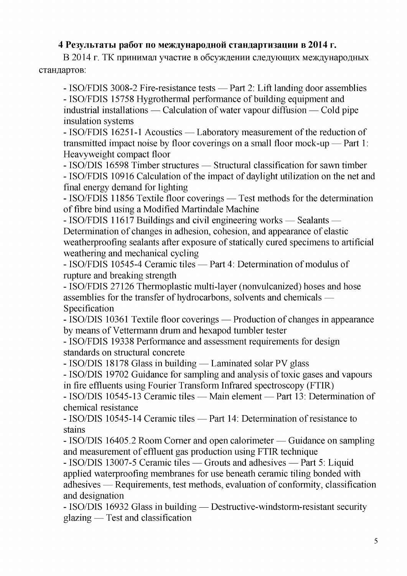### **4 Результаты работ по международной стандартизации в 2014 г.**

В 2014 г. ТК принимал участие в обсуждении следующих международных стандартов:

- ISO/FDIS 3008-2 Fire-resistance tests — Part 2: Lift landing door assemblies - ISO/FDIS 15758 Hygrothermal performance of building equipment and industrial installations — Calculation of water vapour diffusion — Cold pipe insulation systems

- ISO/FDIS 16251-1 Acoustics — Laboratory measurement of the reduction of transmitted impact noise by floor coverings on a small floor mock-up — Part 1: Heavyweight compact floor

- ISO/DIS 16598 Timber structures — Structural classification for sawn timber - ISO/FDIS 10916 Calculation of the impact of daylight utilization on the net and final energy demand for lighting

- ISO/FDIS 11856 Textile floor coverings — Test methods for the determination of fibre bind using a Modified Martindale Machine

- ISO/FDIS 11617 Buildings and civil engineering works — Sealants — Determination of changes in adhesion, cohesion, and appearance of elastic weatherproofing sealants after exposure of statically cured specimens to artificial weathering and mechanical cycling

- ISO/FDIS 10545-4 Ceramic tiles — Part 4: Determination of modulus of rupture and breaking strength

- ISO/FDIS 27126 Thermoplastic multi-layer (nonvulcanized) hoses and hose assemblies for the transfer of hydrocarbons, solvents and chemicals — Specification

- ISO/DIS 10361 Textile floor coverings — Production of changes in appearance by means of Vettermann drum and hexapod tumbler tester

- ISO/FDIS 19338 Performance and assessment requirements for design standards on structural concrete

- ISO/DIS 18178 Glass in building — Laminated solar PV glass

- ISO/DIS 19702 Guidance for sampling and analysis of toxic gases and vapours in fire effluents using Fourier Transform Infrared spectroscopy (FTIR)

- ISO/DIS 10545-13 Ceramic tiles — Main element — Part 13: Determination of chemical resistance

- ISO/DIS 10545-14 Ceramic tiles — Part 14: Determination of resistance to stains

- ISO/DIS 16405.2 Room Corner and open calorimeter — Guidance on sampling and measurement of effluent gas production using FTIR technique

- ISO/DIS 13007-5 Ceramic tiles — Grouts and adhesives — Part 5: Liquid applied waterproofing membranes for use beneath ceramic tiling bonded with adhesives — Requirements, test methods, evaluation of conformity, classification and designation

- ISO/DIS 16932 Glass in building — Destructive-windstorm-resistant security glazing — Test and classification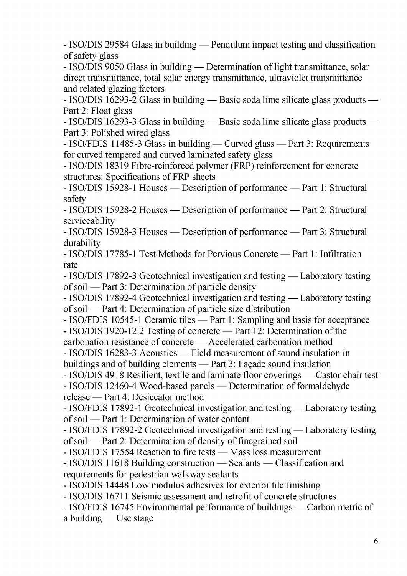- ISO/DIS 29584 Glass in building — Pendulum impact testing and classification of safety glass

- ISO/DIS 9050 Glass in building — Determination of light transmittance, solar direct transmittance, total solar energy transmittance, ultraviolet transmittance and related glazing factors

- ISO/DIS 16293-2 Glass in building — Basic soda lime silicate glass products — Part 2: Float glass

- ISO/DIS 16293-3 Glass in building — Basic soda lime silicate glass products — Part 3: Polished wired glass

- ISO/FDIS 11485-3 Glass in building — Curved glass — Part 3: Requirements for curved tempered and curved laminated safety glass

- ISO/DIS 18319 Fibre-reinforced polymer (FRP) reinforcement for concrete structures: Specifications of FRP sheets

- ISO/DIS 15928-1 Houses — Description of performance — Part 1: Structural safety

- ISO/DIS 15928-2 Houses — Description of performance — Part 2: Structural serviceability

- ISO/DIS 15928-3 Houses — Description of performance — Part 3: Structural durability

- ISO/DIS 17785-1 Test Methods for Pervious Concrete — Part 1: Infiltration rate

- ISO/DIS 17892-3 Geotechnical investigation and testing — Laboratory testing of soil — Part 3: Determination of particle density

- ISO/DIS 17892-4 Geotechnical investigation and testing — Laboratory testing of soil — Part 4: Determination of particle size distribution

- ISO/FDIS 10545-1 Ceramic tiles — Part 1: Sampling and basis for acceptance - ISO/DIS 1920-12.2 Testing of concrete — Part 12: Determination of the

carbonation resistance of concrete — Accelerated carbonation method

- ISO/DIS 16283-3 Acoustics — Field measurement of sound insulation in

buildings and of building elements  $-$  Part 3: Façade sound insulation

- ISO/DIS 4918 Resilient, textile and laminate floor coverings — Castor chair test

- ISO/DIS 12460-4 Wood-based panels — Determination of formaldehyde release — Part 4: Desiccator method

- ISO/FDIS 17892-1 Geotechnical investigation and testing — Laboratory testing of soil — Part 1: Determination of water content

- ISO/FDIS 17892-2 Geotechnical investigation and testing — Laboratory testing of soil — Part 2: Determination of density of finegrained soil

- ISO/FDIS 17554 Reaction to fire tests — Mass loss measurement

- ISO/DIS 11618 Building construction — Sealants — Classification and requirements for pedestrian walkway sealants

- ISO/DIS 14448 Low modulus adhesives for exterior tile finishing

- ISO/DIS 16711 Seismic assessment and retrofit of concrete structures

- ISO/FDIS 16745 Environmental performance of buildings — Carbon metric of a building — Use stage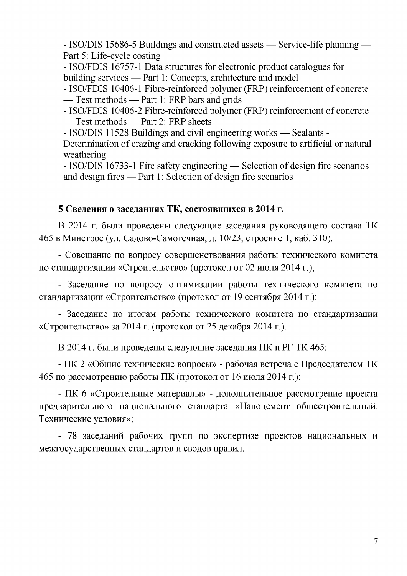- ISO/DIS 15686-5 Buildings and constructed assets — Service-life planning — Part 5: Life-cycle costing

- ISO/FDIS 16757-1 Data structures for electronic product catalogues for building services — Part 1: Concepts, architecture and model

- ISO/FDIS 10406-1 Fibre-reinforced polymer (FRP) reinforcement of concrete - Test methods - Part 1: FRP bars and grids

- ISO/FDIS 10406-2 Fibre-reinforced polymer (FRP) reinforcement of concrete — Test methods — Part 2: FRP sheets

- ISO/DIS 11528 Buildings and civil engineering works — Sealants -

Determination of crazing and cracking following exposure to artificial or natural weathering

- ISO/DIS 16733-1 Fire safety engineering — Selection of design fire scenarios and design fires — Part 1: Selection of design fire scenarios

### **5 Сведения о заседаниях ТК, состоявшихся в 2014 г.**

<span id="page-6-0"></span>В 2014 г. были проведены следующие заседания руководящего состава ТК 465 в Минстрое (ул. Садово-Самотечная, д. 10/23, строение 1, каб. 310):

- Совещание по вопросу совершенствования работы технического комитета по стандартизации «Строительство» (протокол от 02 июля 2014 г.);

- Заседание по вопросу оптимизации работы технического комитета по стандартизации «Строительство» (протокол от 19 сентября 2014 г.);

- Заседание по итогам работы технического комитета по стандартизации «Строительство» за 2014 г. (протокол от 25 декабря 2014 г.).

В 2014 г. были проведены следующие заседания ПК и РГ ТК 465:

- ПК 2 «Общие технические вопросы» - рабочая встреча с Председателем ТК 465 по рассмотрению работы ПК (протокол от 16 июля 2014 г.);

- ПК 6 «Строительные материалы» - дополнительное рассмотрение проекта предварительного национального стандарта «Наноцемент общестроительный. Технические условия»;

- 78 заседаний рабочих групп по экспертизе проектов национальных и межгосударственных стандартов и сводов правил.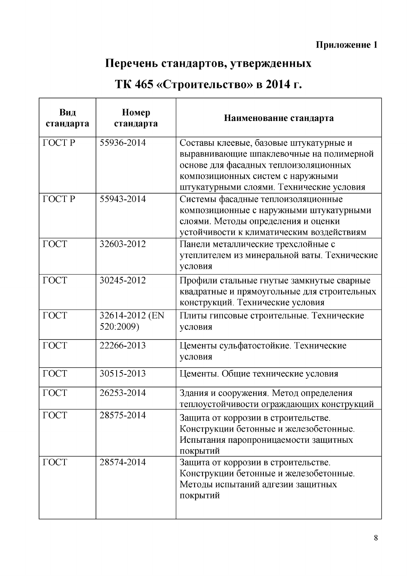# **Перечень стандартов, утвержденных**

# <span id="page-7-0"></span>**ТК 465 «Строительство» в 2014 г.**

| Вид<br>стандарта | Номер<br>стандарта          | Наименование стандарта                                                                                                                                                                                       |
|------------------|-----------------------------|--------------------------------------------------------------------------------------------------------------------------------------------------------------------------------------------------------------|
| <b>ГОСТР</b>     | 55936-2014                  | Составы клеевые, базовые штукатурные и<br>выравнивающие шпаклевочные на полимерной<br>основе для фасадных теплоизоляционных<br>композиционных систем с наружными<br>штукатурными слоями. Технические условия |
| <b>ГОСТР</b>     | 55943-2014                  | Системы фасадные теплоизоляционные<br>композиционные с наружными штукатурными<br>слоями. Методы определения и оценки<br>устойчивости к климатическим воздействиям                                            |
| $\Gamma$ OCT     | 32603-2012                  | Панели металлические трехслойные с<br>утеплителем из минеральной ваты. Технические<br>условия                                                                                                                |
| <b>TOCT</b>      | 30245-2012                  | Профили стальные гнутые замкнутые сварные<br>квадратные и прямоугольные для строительных<br>конструкций. Технические условия                                                                                 |
| <b>TOCT</b>      | 32614-2012 (EN<br>520:2009) | Плиты гипсовые строительные. Технические<br>условия                                                                                                                                                          |
| $\Gamma$ OCT     | 22266-2013                  | Цементы сульфатостойкие. Технические<br>условия                                                                                                                                                              |
| $\Gamma$ OCT     | 30515-2013                  | Цементы. Общие технические условия                                                                                                                                                                           |
| ГОСТ             | 26253-2014                  | Здания и сооружения. Метод определения<br>теплоустойчивости ограждающих конструкций                                                                                                                          |
| $\Gamma$ OCT     | 28575-2014                  | Защита от коррозии в строительстве.<br>Конструкции бетонные и железобетонные.<br>Испытания паропроницаемости защитных<br>покрытий                                                                            |
| $\Gamma$ OCT     | 28574-2014                  | Защита от коррозии в строительстве.<br>Конструкции бетонные и железобетонные.<br>Методы испытаний адгезии защитных<br>покрытий                                                                               |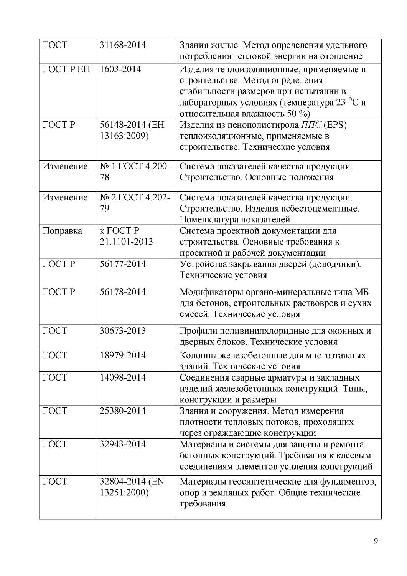| $\Gamma$ OCT     | 31168-2014      | Здания жилые. Метод определения удельного    |
|------------------|-----------------|----------------------------------------------|
|                  |                 | потребления тепловой энергии на отопление    |
| <b>TOCT P EH</b> | 1603-2014       | Изделия теплоизоляционные, применяемые в     |
|                  |                 | строительстве. Метод определения             |
|                  |                 | стабильности размеров при испытании в        |
|                  |                 | лабораторных условиях (температура 23 °С и   |
|                  |                 | относительная влажность 50 %)                |
| <b>ГОСТР</b>     | 56148-2014 (EH  | Изделия из пенополистирола ППС (EPS)         |
|                  | 13163:2009)     | теплоизоляционные, применяемые в             |
|                  |                 | строительстве. Технические условия           |
|                  |                 |                                              |
| Изменение        | № 1 ГОСТ 4.200- | Система показателей качества продукции.      |
|                  | 78              | Строительство. Основные положения            |
|                  |                 |                                              |
| Изменение        | № 2 ГОСТ 4.202- | Система показателей качества продукции.      |
|                  | 79              | Строительство. Изделия асбестоцементные.     |
|                  |                 | Номенклатура показателей                     |
| Поправка         | к ГОСТ Р        | Система проектной документации для           |
|                  | 21.1101-2013    | строительства. Основные требования к         |
|                  |                 |                                              |
|                  |                 | проектной и рабочей документации             |
| <b>ГОСТР</b>     | 56177-2014      | Устройства закрывания дверей (доводчики).    |
|                  |                 | Технические условия                          |
| <b>ГОСТР</b>     | 56178-2014      | Модификаторы органо-минеральные типа МБ      |
|                  |                 | для бетонов, строительных раствовров и сухих |
|                  |                 | смесей. Технические условия                  |
|                  |                 |                                              |
| ГОСТ             | 30673-2013      | Профили поливинилхлоридные для оконных и     |
|                  |                 | дверных блоков. Технические условия          |
| $\Gamma$ OCT     | 18979-2014      | Колонны железобетонные для многоэтажных      |
|                  |                 | зданий. Технические условия                  |
| $\Gamma$ OCT     | 14098-2014      | Соединения сварные арматуры и закладных      |
|                  |                 | изделий железобетонных конструкций. Типы,    |
|                  |                 | конструкции и размеры                        |
| $\Gamma$ OCT     | 25380-2014      | Здания и сооружения. Метод измерения         |
|                  |                 | плотности тепловых потоков, проходящих       |
|                  |                 |                                              |
|                  |                 | через ограждающие конструкции                |
| ГОСТ             | 32943-2014      | Материалы и системы для защиты и ремонта     |
|                  |                 | бетонных конструкций. Требования к клеевым   |
|                  |                 | соединениям элементов усиления конструкций   |
| ГОСТ             | 32804-2014 (EN  | Материалы геосинтетические для фундаментов,  |
|                  | 13251:2000)     | опор и земляных работ. Общие технические     |
|                  |                 | требования                                   |
|                  |                 |                                              |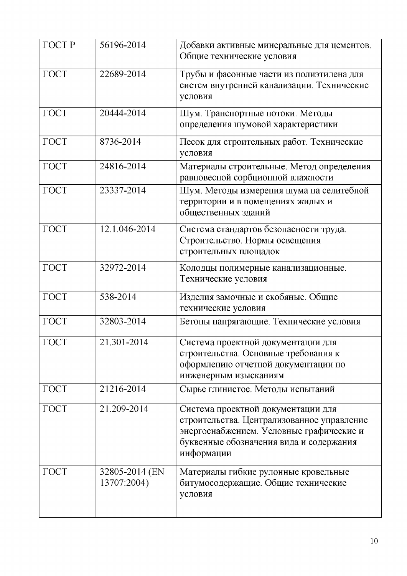| <b>ГОСТР</b> | 56196-2014                    | Добавки активные минеральные для цементов.<br>Общие технические условия                                                                                                               |
|--------------|-------------------------------|---------------------------------------------------------------------------------------------------------------------------------------------------------------------------------------|
| $\Gamma$ OCT | 22689-2014                    | Трубы и фасонные части из полиэтилена для<br>систем внутренней канализации. Технические<br>условия                                                                                    |
| $\Gamma$ OCT | 20444-2014                    | Шум. Транспортные потоки. Методы<br>определения шумовой характеристики                                                                                                                |
| $\Gamma$ OCT | 8736-2014                     | Песок для строительных работ. Технические<br>условия                                                                                                                                  |
| $\Gamma$ OCT | 24816-2014                    | Материалы строительные. Метод определения<br>равновесной сорбционной влажности                                                                                                        |
| $\Gamma$ OCT | 23337-2014                    | Шум. Методы измерения шума на селитебной<br>территории и в помещениях жилых и<br>общественных зданий                                                                                  |
| ГОСТ         | 12.1.046-2014                 | Система стандартов безопасности труда.<br>Строительство. Нормы освещения<br>строительных площадок                                                                                     |
| $\Gamma$ OCT | 32972-2014                    | Колодцы полимерные канализационные.<br>Технические условия                                                                                                                            |
| $\Gamma$ OCT | 538-2014                      | Изделия замочные и скобяные. Общие<br>технические условия                                                                                                                             |
| $\Gamma$ OCT | 32803-2014                    | Бетоны напрягающие. Технические условия                                                                                                                                               |
| $\Gamma$ OCT | 21.301-2014                   | Система проектной документации для<br>строительства. Основные требования к<br>оформлению отчетной документации по<br>инженерным изысканиям                                            |
| $\Gamma$ OCT | 21216-2014                    | Сырье глинистое. Методы испытаний                                                                                                                                                     |
| <b>TOCT</b>  | 21.209-2014                   | Система проектной документации для<br>строительства. Централизованное управление<br>энергоснабжением. Условные графические и<br>буквенные обозначения вида и содержания<br>информации |
| $\Gamma$ OCT | 32805-2014 (EN<br>13707:2004) | Материалы гибкие рулонные кровельные<br>битумосодержащие. Общие технические<br>условия                                                                                                |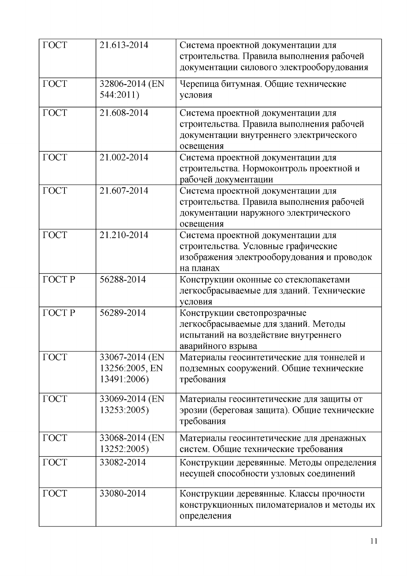| $\Gamma$ OCT | 21.613-2014                                     | Система проектной документации для<br>строительства. Правила выполнения рабочей<br>документации силового электрооборудования            |
|--------------|-------------------------------------------------|-----------------------------------------------------------------------------------------------------------------------------------------|
| <b>TOCT</b>  | 32806-2014 (EN<br>544:2011)                     | Черепица битумная. Общие технические<br>условия                                                                                         |
| $\Gamma$ OCT | 21.608-2014                                     | Система проектной документации для<br>строительства. Правила выполнения рабочей<br>документации внутреннего электрического<br>освещения |
| $\Gamma$ OCT | 21.002-2014                                     | Система проектной документации для<br>строительства. Нормоконтроль проектной и<br>рабочей документации                                  |
| $\Gamma$ OCT | 21.607-2014                                     | Система проектной документации для<br>строительства. Правила выполнения рабочей<br>документации наружного электрического<br>освещения   |
| ГОСТ         | 21.210-2014                                     | Система проектной документации для<br>строительства. Условные графические<br>изображения электрооборудования и проводок<br>на планах    |
| <b>ГОСТР</b> | 56288-2014                                      | Конструкции оконные со стеклопакетами<br>легкосбрасываемые для зданий. Технические<br>условия                                           |
| <b>ГОСТР</b> | 56289-2014                                      | Конструкции светопрозрачные<br>легкосбрасываемые для зданий. Методы<br>испытаний на воздействие внутреннего<br>аварийного взрыва        |
| $\Gamma$ OCT | 33067-2014 (EN<br>13256:2005, EN<br>13491:2006) | Материалы геосинтетические для тоннелей и<br>подземных сооружений. Общие технические<br>требования                                      |
| $\Gamma$ OCT | 33069-2014 (EN<br>13253:2005)                   | Материалы геосинтетические для защиты от<br>эрозии (береговая защита). Общие технические<br>требования                                  |
| $\Gamma$ OCT | 33068-2014 (EN<br>13252:2005)                   | Материалы геосинтетические для дренажных<br>систем. Общие технические требования                                                        |
| $\Gamma$ OCT | 33082-2014                                      | Конструкции деревянные. Методы определения<br>несущей способности узловых соединений                                                    |
| $\Gamma$ OCT | 33080-2014                                      | Конструкции деревянные. Классы прочности<br>конструкционных пиломатериалов и методы их<br>определения                                   |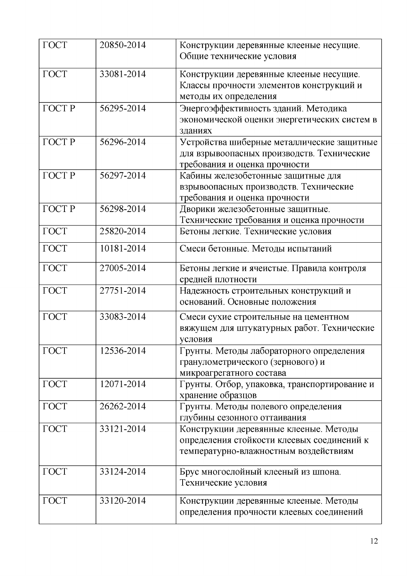| $\Gamma$ OCT | 20850-2014 | Конструкции деревянные клееные несущие.      |
|--------------|------------|----------------------------------------------|
|              |            | Общие технические условия                    |
| $\Gamma$ OCT | 33081-2014 | Конструкции деревянные клееные несущие.      |
|              |            | Классы прочности элементов конструкций и     |
|              |            | методы их определения                        |
| <b>ГОСТР</b> | 56295-2014 | Энергоэффективность зданий. Методика         |
|              |            | экономической оценки энергетических систем в |
|              |            |                                              |
| <b>TOCTP</b> | 56296-2014 | зданиях                                      |
|              |            | Устройства шиберные металлические защитные   |
|              |            | для взрывоопасных производств. Технические   |
|              |            | требования и оценка прочности                |
| <b>TOCTP</b> | 56297-2014 | Кабины железобетонные защитные для           |
|              |            | взрывоопасных производств. Технические       |
|              |            | требования и оценка прочности                |
| <b>ГОСТР</b> | 56298-2014 | Дворики железобетонные защитные.             |
|              |            | Технические требования и оценка прочности    |
| $\Gamma$ OCT | 25820-2014 | Бетоны легкие. Технические условия           |
| $\Gamma$ OCT | 10181-2014 | Смеси бетонные. Методы испытаний             |
| $\Gamma$ OCT | 27005-2014 | Бетоны легкие и ячеистые. Правила контроля   |
|              |            | средней плотности                            |
| ГОСТ         | 27751-2014 | Надежность строительных конструкций и        |
|              |            | оснований. Основные положения                |
| ГОСТ         | 33083-2014 | Смеси сухие строительные на цементном        |
|              |            | вяжущем для штукатурных работ. Технические   |
|              |            | условия                                      |
| $\Gamma$ OCT | 12536-2014 | Грунты. Методы лабораторного определения     |
|              |            | гранулометрического (зернового) и            |
|              |            | микроагрегатного состава                     |
| $\Gamma$ OCT | 12071-2014 | Грунты. Отбор, упаковка, транспортирование и |
|              |            | хранение образцов                            |
| $\Gamma$ OCT | 26262-2014 | Грунты. Методы полевого определения          |
|              |            | глубины сезонного оттаивания                 |
| $\Gamma$ OCT | 33121-2014 | Конструкции деревянные клееные. Методы       |
|              |            | определения стойкости клеевых соединений к   |
|              |            | температурно-влажностным воздействиям        |
|              |            |                                              |
| $\Gamma$ OCT | 33124-2014 | Брус многослойный клееный из шпона.          |
|              |            | Технические условия                          |
| $\Gamma$ OCT | 33120-2014 | Конструкции деревянные клееные. Методы       |
|              |            | определения прочности клеевых соединений     |
|              |            |                                              |